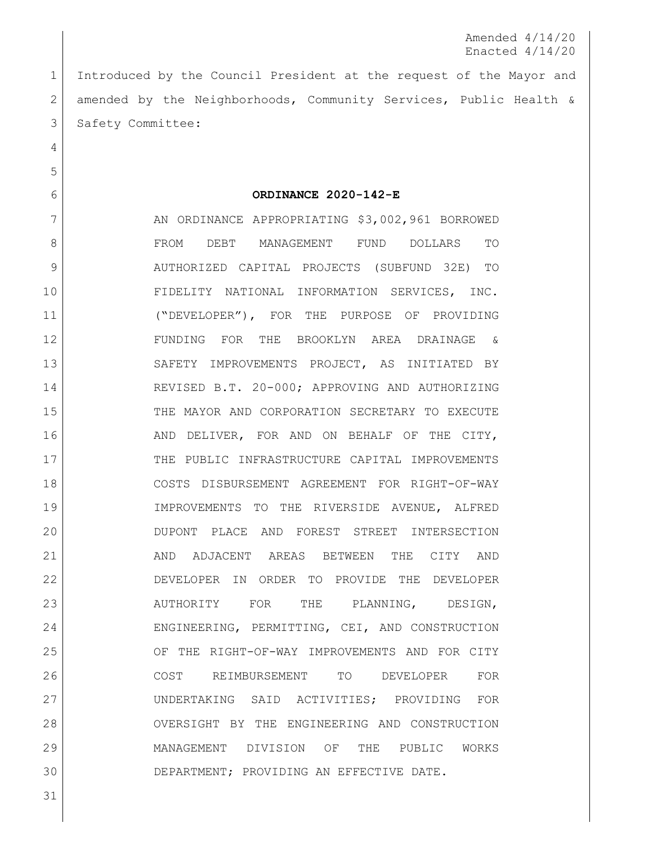Amended 4/14/20 Enacted 4/14/20

 Introduced by the Council President at the request of the Mayor and amended by the Neighborhoods, Community Services, Public Health & 3 Safety Committee:

**ORDINANCE 2020-142-E**

7 AN ORDINANCE APPROPRIATING \$3,002,961 BORROWED FROM DEBT MANAGEMENT FUND DOLLARS TO AUTHORIZED CAPITAL PROJECTS (SUBFUND 32E) TO FIDELITY NATIONAL INFORMATION SERVICES, INC. ("DEVELOPER"), FOR THE PURPOSE OF PROVIDING FUNDING FOR THE BROOKLYN AREA DRAINAGE & SAFETY IMPROVEMENTS PROJECT, AS INITIATED BY REVISED B.T. 20-000; APPROVING AND AUTHORIZING THE MAYOR AND CORPORATION SECRETARY TO EXECUTE 16 AND DELIVER, FOR AND ON BEHALF OF THE CITY, 17 THE PUBLIC INFRASTRUCTURE CAPITAL IMPROVEMENTS COSTS DISBURSEMENT AGREEMENT FOR RIGHT-OF-WAY IMPROVEMENTS TO THE RIVERSIDE AVENUE, ALFRED DUPONT PLACE AND FOREST STREET INTERSECTION AND ADJACENT AREAS BETWEEN THE CITY AND DEVELOPER IN ORDER TO PROVIDE THE DEVELOPER 23 AUTHORITY FOR THE PLANNING, DESIGN, 24 ENGINEERING, PERMITTING, CEI, AND CONSTRUCTION OF THE RIGHT-OF-WAY IMPROVEMENTS AND FOR CITY COST REIMBURSEMENT TO DEVELOPER FOR UNDERTAKING SAID ACTIVITIES; PROVIDING FOR OVERSIGHT BY THE ENGINEERING AND CONSTRUCTION MANAGEMENT DIVISION OF THE PUBLIC WORKS DEPARTMENT; PROVIDING AN EFFECTIVE DATE.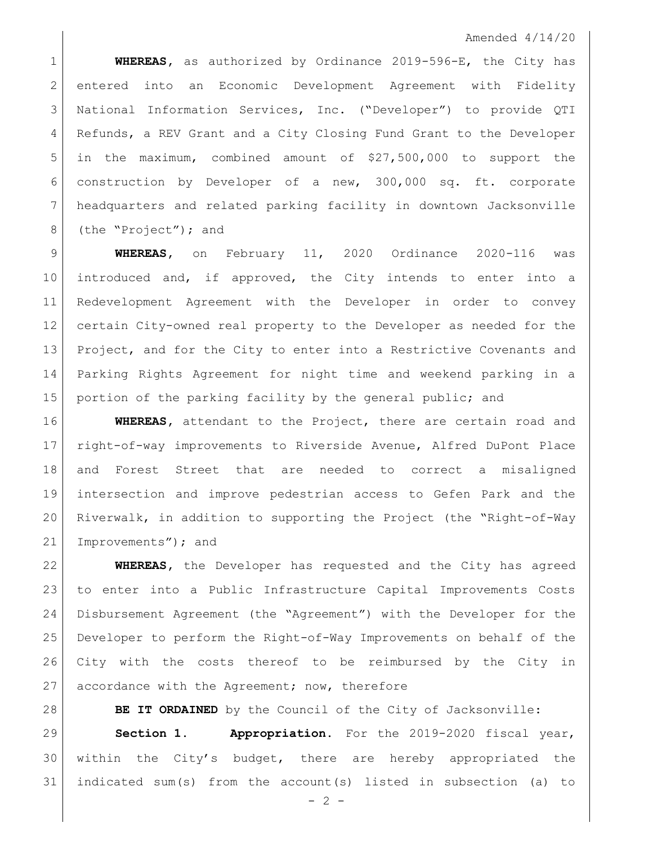## Amended 4/14/20

 **WHEREAS,** as authorized by Ordinance 2019-596-E, the City has entered into an Economic Development Agreement with Fidelity National Information Services, Inc. ("Developer") to provide QTI Refunds, a REV Grant and a City Closing Fund Grant to the Developer in the maximum, combined amount of \$27,500,000 to support the construction by Developer of a new, 300,000 sq. ft. corporate headquarters and related parking facility in downtown Jacksonville 8 (the "Project"); and

 **WHEREAS,** on February 11, 2020 Ordinance 2020-116 was introduced and, if approved, the City intends to enter into a Redevelopment Agreement with the Developer in order to convey certain City-owned real property to the Developer as needed for the 13 Project, and for the City to enter into a Restrictive Covenants and Parking Rights Agreement for night time and weekend parking in a 15 | portion of the parking facility by the general public; and

 **WHEREAS,** attendant to the Project, there are certain road and right-of-way improvements to Riverside Avenue, Alfred DuPont Place and Forest Street that are needed to correct a misaligned intersection and improve pedestrian access to Gefen Park and the Riverwalk, in addition to supporting the Project (the "Right-of-Way Improvements"); and

 **WHEREAS,** the Developer has requested and the City has agreed to enter into a Public Infrastructure Capital Improvements Costs Disbursement Agreement (the "Agreement") with the Developer for the Developer to perform the Right-of-Way Improvements on behalf of the City with the costs thereof to be reimbursed by the City in 27 accordance with the Agreement; now, therefore

**BE IT ORDAINED** by the Council of the City of Jacksonville:

 **Section 1. Appropriation.** For the 2019-2020 fiscal year, within the City's budget, there are hereby appropriated the indicated sum(s) from the account(s) listed in subsection (a) to

 $- 2 -$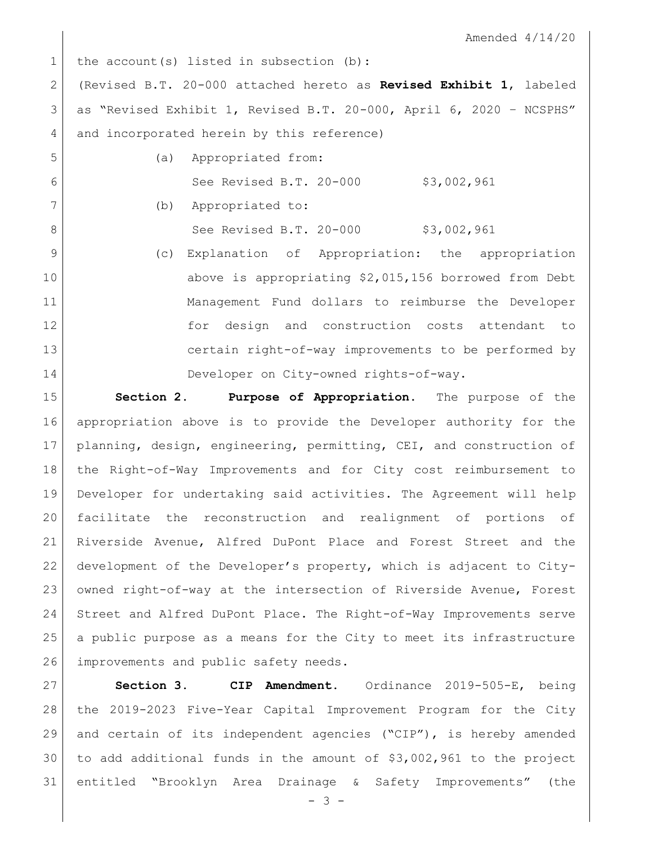Amended 4/14/20

1 the account(s) listed in subsection (b): (Revised B.T. 20-000 attached hereto as **Revised Exhibit 1**, labeled as "Revised Exhibit 1, Revised B.T. 20-000, April 6, 2020 – NCSPHS" 4 and incorporated herein by this reference) (a) Appropriated from: 6 See Revised B.T. 20-000 \$3,002,961 (b) Appropriated to: 8 | See Revised B.T. 20-000 \$3,002,961 (c) Explanation of Appropriation: the appropriation above is appropriating \$2,015,156 borrowed from Debt Management Fund dollars to reimburse the Developer for design and construction costs attendant to certain right-of-way improvements to be performed by Developer on City-owned rights-of-way. **Section 2. Purpose of Appropriation.** The purpose of the appropriation above is to provide the Developer authority for the

 planning, design, engineering, permitting, CEI, and construction of the Right-of-Way Improvements and for City cost reimbursement to Developer for undertaking said activities. The Agreement will help facilitate the reconstruction and realignment of portions of Riverside Avenue, Alfred DuPont Place and Forest Street and the development of the Developer's property, which is adjacent to City- owned right-of-way at the intersection of Riverside Avenue, Forest Street and Alfred DuPont Place. The Right-of-Way Improvements serve a public purpose as a means for the City to meet its infrastructure 26 improvements and public safety needs.

 **Section 3. CIP Amendment.** Ordinance 2019-505-E, being the 2019-2023 Five-Year Capital Improvement Program for the City and certain of its independent agencies ("CIP"), is hereby amended to add additional funds in the amount of \$3,002,961 to the project entitled "Brooklyn Area Drainage & Safety Improvements" (the

 $- 3 -$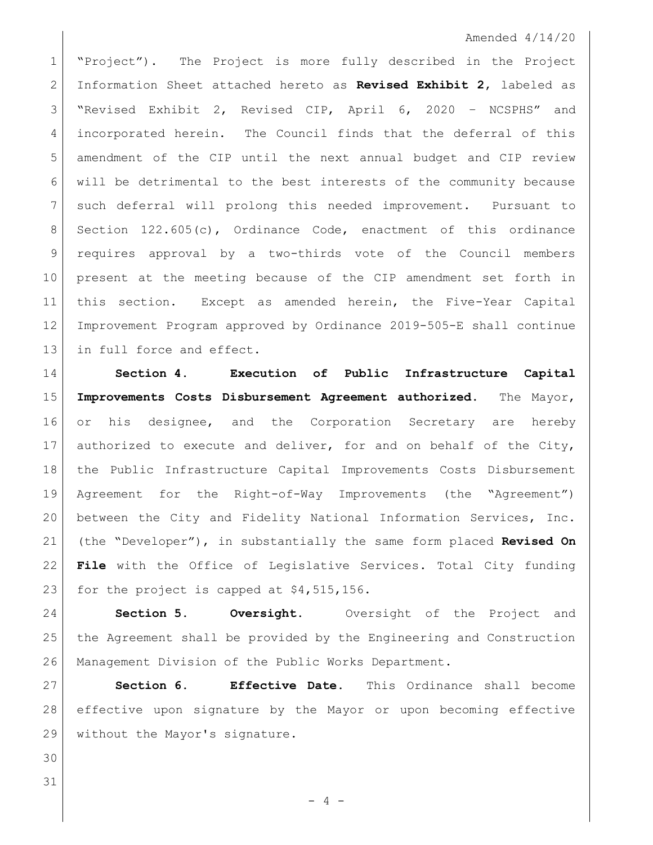## Amended 4/14/20

 "Project"). The Project is more fully described in the Project Information Sheet attached hereto as **Revised Exhibit 2**, labeled as "Revised Exhibit 2, Revised CIP, April 6, 2020 – NCSPHS" and incorporated herein. The Council finds that the deferral of this amendment of the CIP until the next annual budget and CIP review will be detrimental to the best interests of the community because such deferral will prolong this needed improvement. Pursuant to 8 Section 122.605(c), Ordinance Code, enactment of this ordinance 9 requires approval by a two-thirds vote of the Council members present at the meeting because of the CIP amendment set forth in this section. Except as amended herein, the Five-Year Capital Improvement Program approved by Ordinance 2019-505-E shall continue 13 in full force and effect.

 **Section 4. Execution of Public Infrastructure Capital Improvements Costs Disbursement Agreement authorized**. The Mayor, 16 or his designee, and the Corporation Secretary are hereby 17 authorized to execute and deliver, for and on behalf of the City, the Public Infrastructure Capital Improvements Costs Disbursement Agreement for the Right-of-Way Improvements (the "Agreement") between the City and Fidelity National Information Services, Inc. (the "Developer"), in substantially the same form placed **Revised On File** with the Office of Legislative Services. Total City funding 23 for the project is capped at \$4,515,156.

 **Section 5. Oversight.** Oversight of the Project and the Agreement shall be provided by the Engineering and Construction Management Division of the Public Works Department.

 **Section 6. Effective Date.** This Ordinance shall become effective upon signature by the Mayor or upon becoming effective without the Mayor's signature.

- 
-